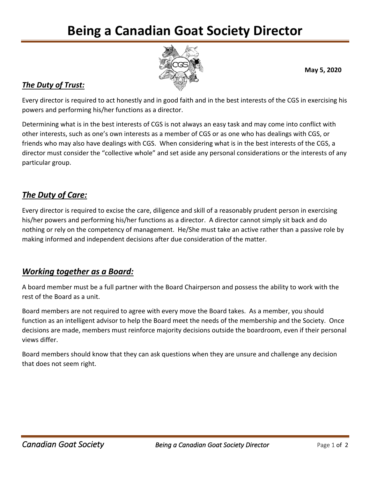# **Being a Canadian Goat Society Director**



**May 5, 2020**

#### *The Duty of Trust:*

Every director is required to act honestly and in good faith and in the best interests of the CGS in exercising his powers and performing his/her functions as a director.

Determining what is in the best interests of CGS is not always an easy task and may come into conflict with other interests, such as one's own interests as a member of CGS or as one who has dealings with CGS, or friends who may also have dealings with CGS. When considering what is in the best interests of the CGS, a director must consider the "collective whole" and set aside any personal considerations or the interests of any particular group.

## *The Duty of Care:*

Every director is required to excise the care, diligence and skill of a reasonably prudent person in exercising his/her powers and performing his/her functions as a director. A director cannot simply sit back and do nothing or rely on the competency of management. He/She must take an active rather than a passive role by making informed and independent decisions after due consideration of the matter.

## *Working together as a Board:*

A board member must be a full partner with the Board Chairperson and possess the ability to work with the rest of the Board as a unit.

Board members are not required to agree with every move the Board takes. As a member, you should function as an intelligent advisor to help the Board meet the needs of the membership and the Society. Once decisions are made, members must reinforce majority decisions outside the boardroom, even if their personal views differ.

Board members should know that they can ask questions when they are unsure and challenge any decision that does not seem right.